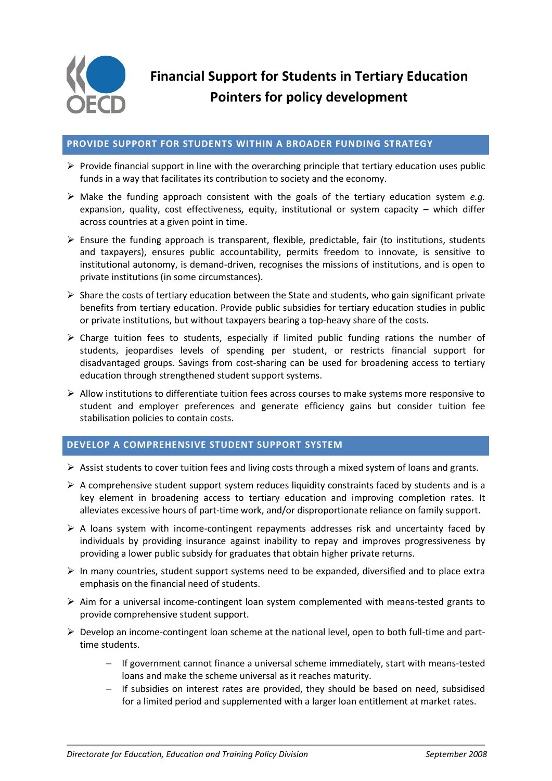

## **PROVIDE SUPPORT FOR STUDENTS WITHIN A BROADER FUNDING STRATEGY**

- $\triangleright$  Provide financial support in line with the overarching principle that tertiary education uses public funds in a way that facilitates its contribution to society and the economy.
- Make the funding approach consistent with the goals of the tertiary education system *e.g.* expansion, quality, cost effectiveness, equity, institutional or system capacity – which differ across countries at a given point in time.
- $\triangleright$  Ensure the funding approach is transparent, flexible, predictable, fair (to institutions, students and taxpayers), ensures public accountability, permits freedom to innovate, is sensitive to institutional autonomy, is demand-driven, recognises the missions of institutions, and is open to private institutions (in some circumstances).
- $\triangleright$  Share the costs of tertiary education between the State and students, who gain significant private benefits from tertiary education. Provide public subsidies for tertiary education studies in public or private institutions, but without taxpayers bearing a top-heavy share of the costs.
- $\triangleright$  Charge tuition fees to students, especially if limited public funding rations the number of students, jeopardises levels of spending per student, or restricts financial support for disadvantaged groups. Savings from cost-sharing can be used for broadening access to tertiary education through strengthened student support systems.
- $\triangleright$  Allow institutions to differentiate tuition fees across courses to make systems more responsive to student and employer preferences and generate efficiency gains but consider tuition fee stabilisation policies to contain costs.

## **DEVELOP A COMPREHENSIVE STUDENT SUPPORT SYSTEM**

- $\triangleright$  Assist students to cover tuition fees and living costs through a mixed system of loans and grants.
- $\triangleright$  A comprehensive student support system reduces liquidity constraints faced by students and is a key element in broadening access to tertiary education and improving completion rates. It alleviates excessive hours of part-time work, and/or disproportionate reliance on family support.
- $\triangleright$  A loans system with income-contingent repayments addresses risk and uncertainty faced by individuals by providing insurance against inability to repay and improves progressiveness by providing a lower public subsidy for graduates that obtain higher private returns.
- $\triangleright$  In many countries, student support systems need to be expanded, diversified and to place extra emphasis on the financial need of students.
- $\triangleright$  Aim for a universal income-contingent loan system complemented with means-tested grants to provide comprehensive student support.
- $\triangleright$  Develop an income-contingent loan scheme at the national level, open to both full-time and parttime students.
	- If government cannot finance a universal scheme immediately, start with means-tested loans and make the scheme universal as it reaches maturity.
	- $-I$  If subsidies on interest rates are provided, they should be based on need, subsidised for a limited period and supplemented with a larger loan entitlement at market rates.